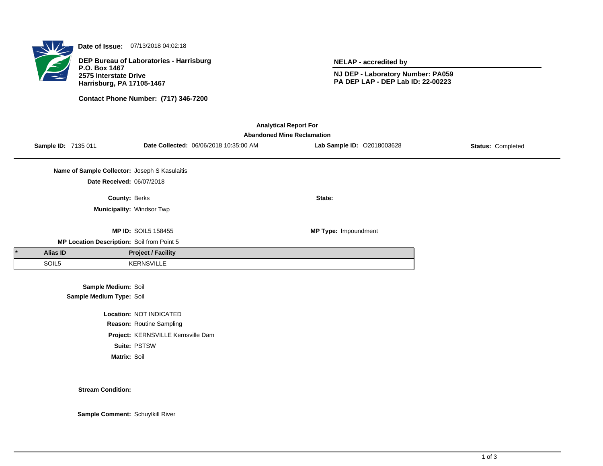

**Date of Issue:** 07/13/2018 04:02:18

**DEP Bureau of Laboratories - Harrisburg P.O. Box 1467 2575 Interstate Drive Harrisburg, PA 17105-1467**

**Contact Phone Number: (717) 346-7200**

**NELAP - accredited by**

**NJ DEP - Laboratory Number: PA059 PA DEP LAP - DEP Lab ID: 22-00223**

| <b>Analytical Report For</b><br><b>Abandoned Mine Reclamation</b> |                     |                                               |                                    |                                        |                             |                          |  |  |  |
|-------------------------------------------------------------------|---------------------|-----------------------------------------------|------------------------------------|----------------------------------------|-----------------------------|--------------------------|--|--|--|
|                                                                   | Sample ID: 7135 011 |                                               |                                    | Date Collected: 06/06/2018 10:35:00 AM | Lab Sample ID: 02018003628  | <b>Status: Completed</b> |  |  |  |
|                                                                   |                     | Name of Sample Collector: Joseph S Kasulaitis |                                    |                                        |                             |                          |  |  |  |
|                                                                   |                     | Date Received: 06/07/2018                     |                                    |                                        |                             |                          |  |  |  |
|                                                                   |                     | <b>County: Berks</b>                          |                                    |                                        | State:                      |                          |  |  |  |
|                                                                   |                     | Municipality: Windsor Twp                     |                                    |                                        |                             |                          |  |  |  |
|                                                                   |                     |                                               | <b>MP ID: SOIL5 158455</b>         |                                        | <b>MP Type: Impoundment</b> |                          |  |  |  |
|                                                                   |                     | MP Location Description: Soil from Point 5    |                                    |                                        |                             |                          |  |  |  |
|                                                                   | Alias ID            |                                               | <b>Project / Facility</b>          |                                        |                             |                          |  |  |  |
|                                                                   | SOIL5               |                                               | <b>KERNSVILLE</b>                  |                                        |                             |                          |  |  |  |
|                                                                   |                     | Sample Medium: Soil                           |                                    |                                        |                             |                          |  |  |  |
|                                                                   |                     | Sample Medium Type: Soil                      |                                    |                                        |                             |                          |  |  |  |
|                                                                   |                     |                                               | Location: NOT INDICATED            |                                        |                             |                          |  |  |  |
|                                                                   |                     |                                               | Reason: Routine Sampling           |                                        |                             |                          |  |  |  |
|                                                                   |                     |                                               | Project: KERNSVILLE Kernsville Dam |                                        |                             |                          |  |  |  |

**Suite:** PSTSW

**Matrix:** Soil

**Stream Condition:**

**Sample Comment:** Schuylkill River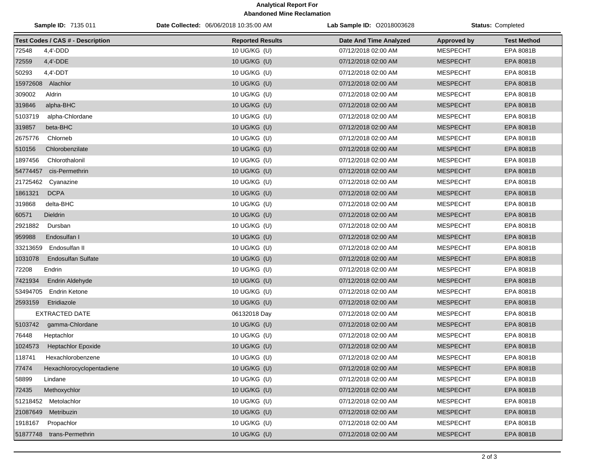## **Analytical Report For Abandoned Mine Reclamation**

| Sample ID: 7135 011 |                                         | Date Collected: 06/06/2018 10:35:00 AM | <b>Lab Sample ID: 02018003628</b> | <b>Status: Completed</b> |                    |
|---------------------|-----------------------------------------|----------------------------------------|-----------------------------------|--------------------------|--------------------|
|                     | <b>Test Codes / CAS # - Description</b> | <b>Reported Results</b>                | Date And Time Analyzed            | <b>Approved by</b>       | <b>Test Method</b> |
| 72548               | $4,4'$ -DDD                             | 10 UG/KG (U)                           | 07/12/2018 02:00 AM               | <b>MESPECHT</b>          | EPA 8081B          |
| 72559               | 4,4'-DDE                                | 10 UG/KG (U)                           | 07/12/2018 02:00 AM               | <b>MESPECHT</b>          | EPA 8081B          |
| 50293               | $4.4'$ -DDT                             | 10 UG/KG (U)                           | 07/12/2018 02:00 AM               | <b>MESPECHT</b>          | EPA 8081B          |
| 15972608 Alachlor   |                                         | 10 UG/KG (U)                           | 07/12/2018 02:00 AM               | <b>MESPECHT</b>          | EPA 8081B          |
| 309002              | Aldrin                                  | 10 UG/KG (U)                           | 07/12/2018 02:00 AM               | <b>MESPECHT</b>          | EPA 8081B          |
| 319846              | alpha-BHC                               | 10 UG/KG (U)                           | 07/12/2018 02:00 AM               | <b>MESPECHT</b>          | EPA 8081B          |
| 5103719             | alpha-Chlordane                         | 10 UG/KG (U)                           | 07/12/2018 02:00 AM               | <b>MESPECHT</b>          | EPA 8081B          |
| 319857              | beta-BHC                                | 10 UG/KG (U)                           | 07/12/2018 02:00 AM               | <b>MESPECHT</b>          | EPA 8081B          |
| 2675776             | Chlorneb                                | 10 UG/KG (U)                           | 07/12/2018 02:00 AM               | <b>MESPECHT</b>          | EPA 8081B          |
| 510156              | Chlorobenzilate                         | 10 UG/KG (U)                           | 07/12/2018 02:00 AM               | <b>MESPECHT</b>          | EPA 8081B          |
| 1897456             | Chlorothalonil                          | 10 UG/KG (U)                           | 07/12/2018 02:00 AM               | <b>MESPECHT</b>          | EPA 8081B          |
| 54774457            | cis-Permethrin                          | 10 UG/KG (U)                           | 07/12/2018 02:00 AM               | <b>MESPECHT</b>          | EPA 8081B          |
| 21725462            | Cyanazine                               | 10 UG/KG (U)                           | 07/12/2018 02:00 AM               | <b>MESPECHT</b>          | EPA 8081B          |
| 1861321             | <b>DCPA</b>                             | 10 UG/KG (U)                           | 07/12/2018 02:00 AM               | <b>MESPECHT</b>          | EPA 8081B          |
| 319868              | delta-BHC                               | 10 UG/KG (U)                           | 07/12/2018 02:00 AM               | <b>MESPECHT</b>          | EPA 8081B          |
| 60571               | <b>Dieldrin</b>                         | 10 UG/KG (U)                           | 07/12/2018 02:00 AM               | <b>MESPECHT</b>          | EPA 8081B          |
| 2921882             | Dursban                                 | 10 UG/KG (U)                           | 07/12/2018 02:00 AM               | <b>MESPECHT</b>          | EPA 8081B          |
| 959988              | Endosulfan I                            | 10 UG/KG (U)                           | 07/12/2018 02:00 AM               | <b>MESPECHT</b>          | EPA 8081B          |
| 33213659            | Endosulfan II                           | 10 UG/KG (U)                           | 07/12/2018 02:00 AM               | <b>MESPECHT</b>          | EPA 8081B          |
| 1031078             | <b>Endosulfan Sulfate</b>               | 10 UG/KG (U)                           | 07/12/2018 02:00 AM               | <b>MESPECHT</b>          | EPA 8081B          |
| 72208               | Endrin                                  | 10 UG/KG (U)                           | 07/12/2018 02:00 AM               | <b>MESPECHT</b>          | EPA 8081B          |
| 7421934             | Endrin Aldehyde                         | 10 UG/KG (U)                           | 07/12/2018 02:00 AM               | <b>MESPECHT</b>          | EPA 8081B          |
| 53494705            | <b>Endrin Ketone</b>                    | 10 UG/KG (U)                           | 07/12/2018 02:00 AM               | <b>MESPECHT</b>          | EPA 8081B          |
| 2593159             | Etridiazole                             | 10 UG/KG (U)                           | 07/12/2018 02:00 AM               | <b>MESPECHT</b>          | EPA 8081B          |
|                     | <b>EXTRACTED DATE</b>                   | 06132018 Day                           | 07/12/2018 02:00 AM               | <b>MESPECHT</b>          | EPA 8081B          |
| 5103742             | gamma-Chlordane                         | 10 UG/KG (U)                           | 07/12/2018 02:00 AM               | <b>MESPECHT</b>          | EPA 8081B          |
| 76448               | Heptachlor                              | 10 UG/KG (U)                           | 07/12/2018 02:00 AM               | <b>MESPECHT</b>          | EPA 8081B          |
| 1024573             | <b>Heptachlor Epoxide</b>               | 10 UG/KG (U)                           | 07/12/2018 02:00 AM               | <b>MESPECHT</b>          | EPA 8081B          |
| 118741              | Hexachlorobenzene                       | 10 UG/KG (U)                           | 07/12/2018 02:00 AM               | <b>MESPECHT</b>          | EPA 8081B          |
| 77474               | Hexachlorocyclopentadiene               | 10 UG/KG (U)                           | 07/12/2018 02:00 AM               | <b>MESPECHT</b>          | EPA 8081B          |
| 58899               | Lindane                                 | 10 UG/KG (U)                           | 07/12/2018 02:00 AM               | <b>MESPECHT</b>          | EPA 8081B          |
| 72435               | Methoxychlor                            | 10 UG/KG (U)                           | 07/12/2018 02:00 AM               | <b>MESPECHT</b>          | EPA 8081B          |
|                     | 51218452 Metolachlor                    | 10 UG/KG (U)                           | 07/12/2018 02:00 AM               | <b>MESPECHT</b>          | EPA 8081B          |
| 21087649            | Metribuzin                              | 10 UG/KG (U)                           | 07/12/2018 02:00 AM               | <b>MESPECHT</b>          | EPA 8081B          |
| 1918167             | Propachlor                              | 10 UG/KG (U)                           | 07/12/2018 02:00 AM               | <b>MESPECHT</b>          | EPA 8081B          |
|                     | 51877748 trans-Permethrin               | 10 UG/KG (U)                           | 07/12/2018 02:00 AM               | <b>MESPECHT</b>          | EPA 8081B          |